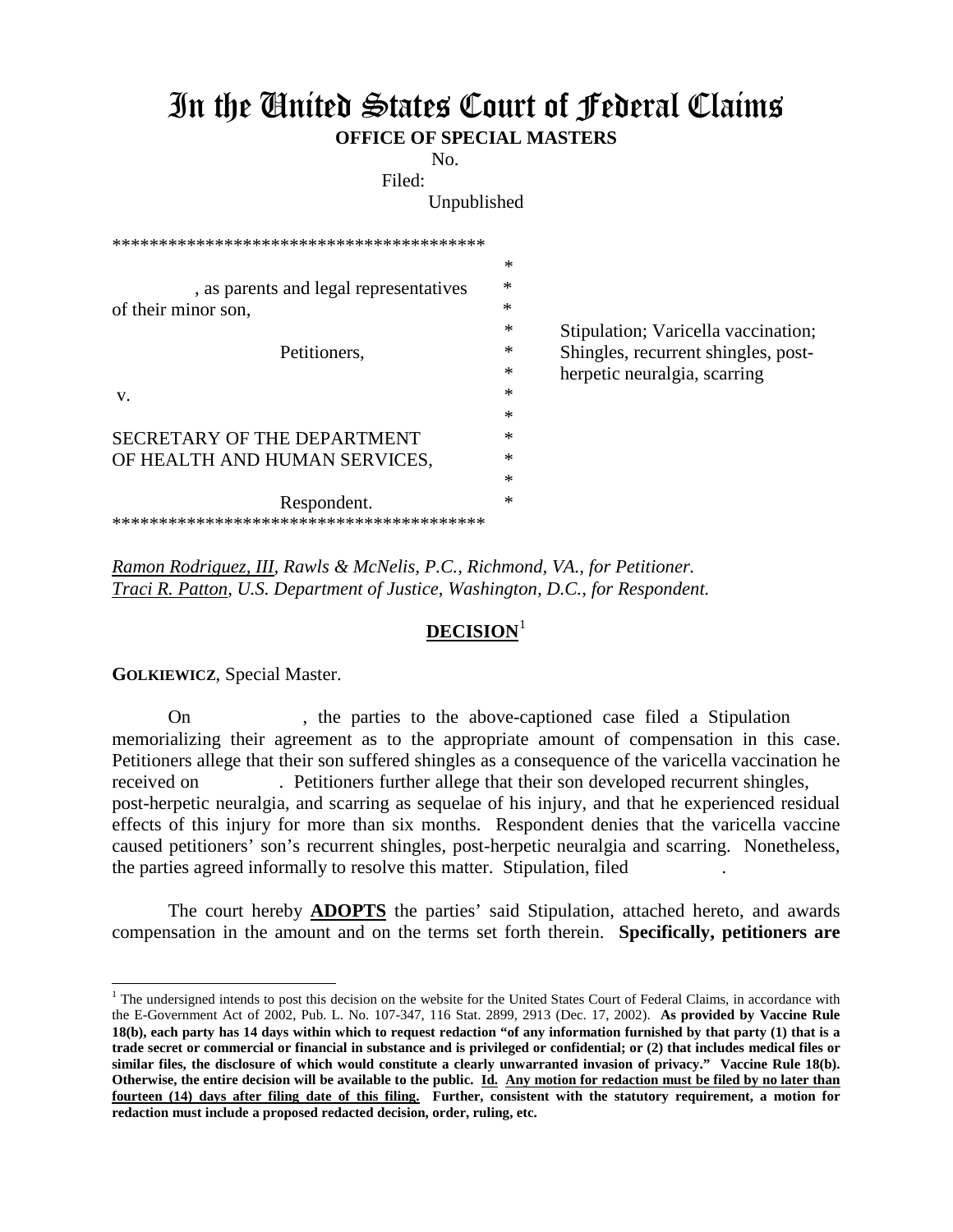## In the United States Court of Federal Claims **OFFICE OF SPECIAL MASTERS**

No. Filed:

Unpublished

| *********************************      |        |                                     |
|----------------------------------------|--------|-------------------------------------|
|                                        | ∗      |                                     |
| , as parents and legal representatives | ∗      |                                     |
| of their minor son,                    | ∗      |                                     |
|                                        | *      | Stipulation; Varicella vaccination; |
| Petitioners.                           | ∗      | Shingles, recurrent shingles, post- |
|                                        | *      | herpetic neuralgia, scarring        |
| V.                                     | ∗      |                                     |
|                                        | $\ast$ |                                     |
| SECRETARY OF THE DEPARTMENT            | *      |                                     |
| OF HEALTH AND HUMAN SERVICES,          | $\ast$ |                                     |
|                                        | $\ast$ |                                     |
| Respondent.                            | $\ast$ |                                     |
|                                        |        |                                     |

*Ramon Rodriguez, III, Rawls & McNelis, P.C., Richmond, VA., for Petitioner. Traci R. Patton, U.S. Department of Justice, Washington, D.C., for Respondent.*

## **DECISION**[1](#page-0-0)

**GOLKIEWICZ**, Special Master.

 $\overline{a}$ 

On , the parties to the above-captioned case filed a Stipulation memorializing their agreement as to the appropriate amount of compensation in this case. Petitioners allege that their son suffered shingles as a consequence of the varicella vaccination he received on . Petitioners further allege that their son developed recurrent shingles, post-herpetic neuralgia, and scarring as sequelae of his injury, and that he experienced residual effects of this injury for more than six months. Respondent denies that the varicella vaccine caused petitioners' son's recurrent shingles, post-herpetic neuralgia and scarring. Nonetheless, the parties agreed informally to resolve this matter. Stipulation, filed

The court hereby **ADOPTS** the parties' said Stipulation, attached hereto, and awards compensation in the amount and on the terms set forth therein. **Specifically, petitioners are**

<span id="page-0-0"></span> $<sup>1</sup>$  The undersigned intends to post this decision on the website for the United States Court of Federal Claims, in accordance with</sup> the E-Government Act of 2002, Pub. L. No. 107-347, 116 Stat. 2899, 2913 (Dec. 17, 2002). **As provided by Vaccine Rule 18(b), each party has 14 days within which to request redaction "of any information furnished by that party (1) that is a trade secret or commercial or financial in substance and is privileged or confidential; or (2) that includes medical files or similar files, the disclosure of which would constitute a clearly unwarranted invasion of privacy." Vaccine Rule 18(b). Otherwise, the entire decision will be available to the public. Id. Any motion for redaction must be filed by no later than fourteen (14) days after filing date of this filing. Further, consistent with the statutory requirement, a motion for redaction must include a proposed redacted decision, order, ruling, etc.**